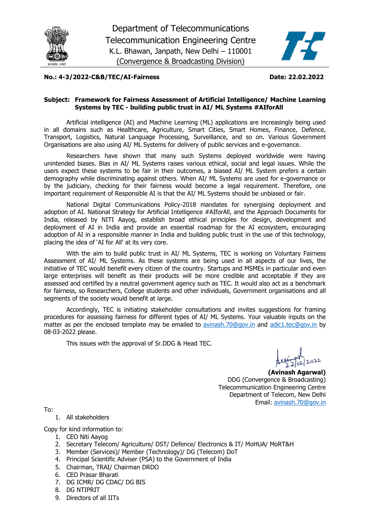



#### **No.: 4-3/2022-C&B/TEC/AI-Fairness Date: 22.02.2022**

#### **Subject: Framework for Fairness Assessment of Artificial Intelligence/ Machine Learning Systems by TEC - building public trust in AI/ ML Systems #AIforAll**

Artificial intelligence (AI) and Machine Learning (ML) applications are increasingly being used in all domains such as Healthcare, Agriculture, Smart Cities, Smart Homes, Finance, Defence, Transport, Logistics, Natural Language Processing, Surveillance, and so on. Various Government Organisations are also using AI/ ML Systems for delivery of public services and e-governance.

Researchers have shown that many such Systems deployed worldwide were having unintended biases. Bias in AI/ ML Systems raises various ethical, social and legal issues. While the users expect these systems to be fair in their outcomes, a biased AI/ ML System prefers a certain demography while discriminating against others. When AI/ ML Systems are used for e-governance or by the judiciary, checking for their fairness would become a legal requirement. Therefore, one important requirement of Responsible AI is that the AI/ ML Systems should be unbiased or fair.

National Digital Communications Policy-2018 mandates for synergising deployment and adoption of AI. National Strategy for Artificial Intelligence #AIforAll, and the Approach Documents for India, released by NITI Aayog, establish broad ethical principles for design, development and deployment of AI in India and provide an essential roadmap for the AI ecosystem, encouraging adoption of AI in a responsible manner in India and building public trust in the use of this technology, placing the idea of 'AI for All' at its very core.

With the aim to build public trust in AI/ ML Systems, TEC is working on Voluntary Fairness Assessment of AI/ ML Systems. As these systems are being used in all aspects of our lives, the initiative of TEC would benefit every citizen of the country. Startups and MSMEs in particular and even large enterprises will benefit as their products will be more credible and acceptable if they are assessed and certified by a neutral government agency such as TEC. It would also act as a benchmark for fairness, so Researchers, College students and other individuals, Government organisations and all segments of the society would benefit at large.

Accordingly, TEC is initiating stakeholder consultations and invites suggestions for framing procedures for assessing fairness for different types of AI/ ML Systems. Your valuable inputs on the matter as per the enclosed template may be emailed to [avinash.70@gov.in](mailto:avinash.70@gov.in) and [adic1.tec@gov.in](mailto:adic1.tec@gov.in) by 08-03-2022 please.

This issues with the approval of Sr.DDG & Head TEC.

**(Avinash Agarwal)** DDG (Convergence & Broadcasting) Telecommunication Engineering Centre Department of Telecom, New Delhi Email: [avinash.70@gov.in](mailto:avinash.70@gov.in)

To:

# 1. All stakeholders

Copy for kind information to:

- 1. CEO Niti Aayog
- 2. Secretary Telecom/ Agriculture/ DST/ Defence/ Electronics & IT/ MoHUA/ MoRT&H
- 3. Member (Services)/ Member (Technology)/ DG (Telecom) DoT
- 4. Principal Scientific Adviser (PSA) to the Government of India
- 5. Chairman, TRAI/ Chairman DRDO
- 6. CEO Prasar Bharati
- 7. DG ICMR/ DG CDAC/ DG BIS
- 8. DG NTIPRIT
- 9. Directors of all IITs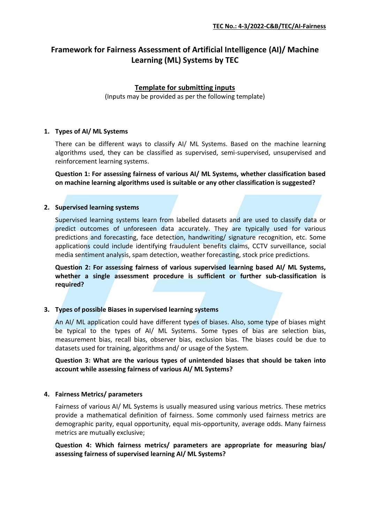# **Framework for Fairness Assessment of Artificial Intelligence (AI)/ Machine Learning (ML) Systems by TEC**

# **Template for submitting inputs**

(Inputs may be provided as per the following template)

#### **1. Types of AI/ ML Systems**

There can be different ways to classify AI/ ML Systems. Based on the machine learning algorithms used, they can be classified as supervised, semi-supervised, unsupervised and reinforcement learning systems.

**Question 1: For assessing fairness of various AI/ ML Systems, whether classification based on machine learning algorithms used is suitable or any other classification is suggested?**

#### **2. Supervised learning systems**

Supervised learning systems learn from labelled datasets and are used to classify data or predict outcomes of unforeseen data accurately. They are typically used for various predictions and forecasting, face detection, handwriting/ signature recognition, etc. Some applications could include identifying fraudulent benefits claims, CCTV surveillance, social media sentiment analysis, spam detection, weather forecasting, stock price predictions.

**Question 2: For assessing fairness of various supervised learning based AI/ ML Systems, whether a single assessment procedure is sufficient or further sub-classification is required?** 

# **3. Types of possible Biases in supervised learning systems**

An AI/ ML application could have different types of biases. Also, some type of biases might be typical to the types of AI/ ML Systems. Some types of bias are selection bias, measurement bias, recall bias, observer bias, exclusion bias. The biases could be due to datasets used for training, algorithms and/ or usage of the System.

**Question 3: What are the various types of unintended biases that should be taken into account while assessing fairness of various AI/ ML Systems?**

# **4. Fairness Metrics/ parameters**

Fairness of various AI/ ML Systems is usually measured using various metrics. These metrics provide a mathematical definition of fairness. Some commonly used fairness metrics are demographic parity, equal opportunity, equal mis-opportunity, average odds. Many fairness metrics are mutually exclusive;

# **Question 4: Which fairness metrics/ parameters are appropriate for measuring bias/ assessing fairness of supervised learning AI/ ML Systems?**